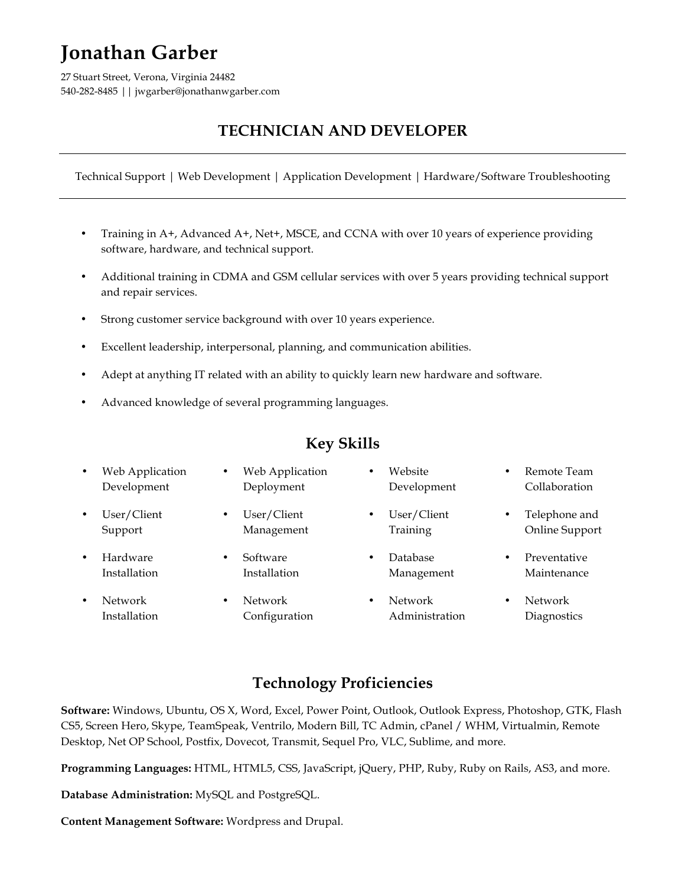# **Jonathan Garber**

27 Stuart Street, Verona, Virginia 24482 540-282-8485 || jwgarber@jonathanwgarber.com

## **TECHNICIAN AND DEVELOPER**

Technical Support | Web Development | Application Development | Hardware/Software Troubleshooting

- Training in A+, Advanced A+, Net+, MSCE, and CCNA with over 10 years of experience providing software, hardware, and technical support.
- Additional training in CDMA and GSM cellular services with over 5 years providing technical support and repair services.
- Strong customer service background with over 10 years experience.
- Excellent leadership, interpersonal, planning, and communication abilities.
- Adept at anything IT related with an ability to quickly learn new hardware and software.
- Advanced knowledge of several programming languages.

## **Key Skills**

| $\bullet$ | Web Application<br>Development | ٠         | Web Application<br>Deployment | ٠         | Website<br>Development    | ٠ | Remote Team<br>Collaboration    |
|-----------|--------------------------------|-----------|-------------------------------|-----------|---------------------------|---|---------------------------------|
| $\bullet$ | User/Client<br>Support         | ٠         | User/Client<br>Management     | $\bullet$ | User/Client<br>Training   |   | Telephone and<br>Online Support |
| $\bullet$ | Hardware<br>Installation       | $\bullet$ | Software<br>Installation      | $\bullet$ | Database<br>Management    | ٠ | Preventative<br>Maintenance     |
| ٠         | Network<br>Installation        | ٠         | Network<br>Configuration      | $\bullet$ | Network<br>Administration | ٠ | Network<br>Diagnostics          |

## **Technology Proficiencies**

**Software:** Windows, Ubuntu, OS X, Word, Excel, Power Point, Outlook, Outlook Express, Photoshop, GTK, Flash CS5, Screen Hero, Skype, TeamSpeak, Ventrilo, Modern Bill, TC Admin, cPanel / WHM, Virtualmin, Remote Desktop, Net OP School, Postfix, Dovecot, Transmit, Sequel Pro, VLC, Sublime, and more.

**Programming Languages:** HTML, HTML5, CSS, JavaScript, jQuery, PHP, Ruby, Ruby on Rails, AS3, and more.

**Database Administration:** MySQL and PostgreSQL.

**Content Management Software:** Wordpress and Drupal.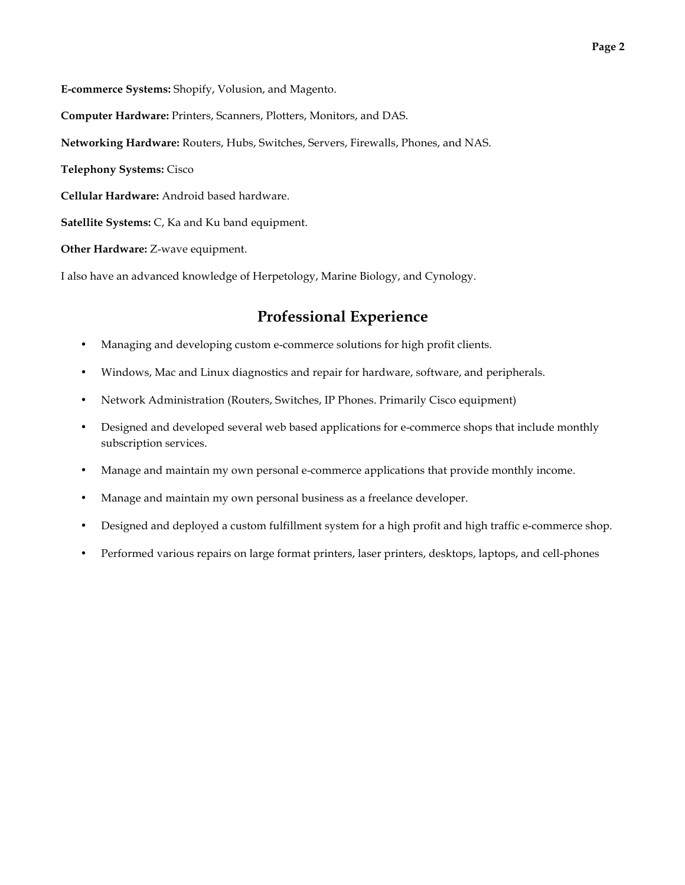**E-commerce Systems:** Shopify, Volusion, and Magento.

**Computer Hardware:** Printers, Scanners, Plotters, Monitors, and DAS.

**Networking Hardware:** Routers, Hubs, Switches, Servers, Firewalls, Phones, and NAS.

**Telephony Systems:** Cisco

**Cellular Hardware:** Android based hardware.

**Satellite Systems:** C, Ka and Ku band equipment.

**Other Hardware:** Z-wave equipment.

I also have an advanced knowledge of Herpetology, Marine Biology, and Cynology.

#### **Professional Experience**

- Managing and developing custom e-commerce solutions for high profit clients.
- Windows, Mac and Linux diagnostics and repair for hardware, software, and peripherals.
- Network Administration (Routers, Switches, IP Phones. Primarily Cisco equipment)
- Designed and developed several web based applications for e-commerce shops that include monthly subscription services.
- Manage and maintain my own personal e-commerce applications that provide monthly income.
- Manage and maintain my own personal business as a freelance developer.
- Designed and deployed a custom fulfillment system for a high profit and high traffic e-commerce shop.
- Performed various repairs on large format printers, laser printers, desktops, laptops, and cell-phones